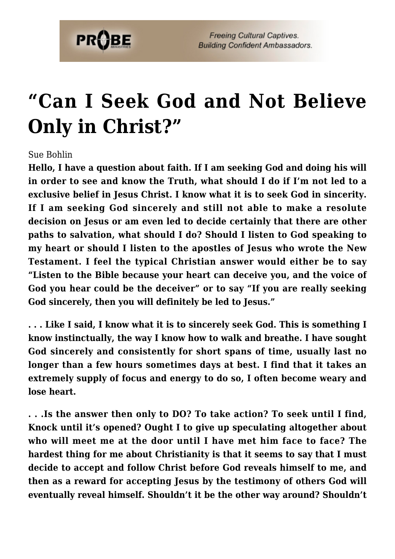

## **["Can I Seek God and Not Believe](https://probe.org/can-i-seek-god-and-not-believe-only-in-christ/) [Only in Christ?"](https://probe.org/can-i-seek-god-and-not-believe-only-in-christ/)**

## Sue Bohlin

**Hello, I have a question about faith. If I am seeking God and doing his will in order to see and know the Truth, what should I do if I'm not led to a exclusive belief in Jesus Christ. I know what it is to seek God in sincerity. If I am seeking God sincerely and still not able to make a resolute decision on Jesus or am even led to decide certainly that there are other paths to salvation, what should I do? Should I listen to God speaking to my heart or should I listen to the apostles of Jesus who wrote the New Testament. I feel the typical Christian answer would either be to say "Listen to the Bible because your heart can deceive you, and the voice of God you hear could be the deceiver" or to say "If you are really seeking God sincerely, then you will definitely be led to Jesus."**

**. . . Like I said, I know what it is to sincerely seek God. This is something I know instinctually, the way I know how to walk and breathe. I have sought God sincerely and consistently for short spans of time, usually last no longer than a few hours sometimes days at best. I find that it takes an extremely supply of focus and energy to do so, I often become weary and lose heart.**

**. . .Is the answer then only to DO? To take action? To seek until I find, Knock until it's opened? Ought I to give up speculating altogether about who will meet me at the door until I have met him face to face? The hardest thing for me about Christianity is that it seems to say that I must decide to accept and follow Christ before God reveals himself to me, and then as a reward for accepting Jesus by the testimony of others God will eventually reveal himself. Shouldn't it be the other way around? Shouldn't**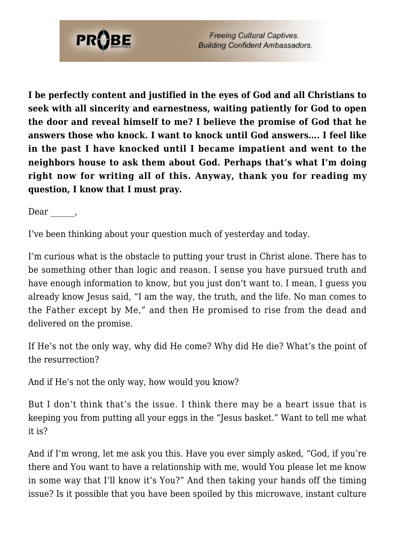

**I be perfectly content and justified in the eyes of God and all Christians to seek with all sincerity and earnestness, waiting patiently for God to open the door and reveal himself to me? I believe the promise of God that he answers those who knock. I want to knock until God answers…. I feel like in the past I have knocked until I became impatient and went to the neighbors house to ask them about God. Perhaps that's what I'm doing right now for writing all of this. Anyway, thank you for reading my question, I know that I must pray.**

Dear \_\_\_\_\_\_,

I've been thinking about your question much of yesterday and today.

I'm curious what is the obstacle to putting your trust in Christ alone. There has to be something other than logic and reason. I sense you have pursued truth and have enough information to know, but you just don't want to. I mean, I guess you already know Jesus said, "I am the way, the truth, and the life. No man comes to the Father except by Me," and then He promised to rise from the dead and delivered on the promise.

If He's not the only way, why did He come? Why did He die? What's the point of the resurrection?

And if He's not the only way, how would you know?

But I don't think that's the issue. I think there may be a heart issue that is keeping you from putting all your eggs in the "Jesus basket." Want to tell me what it is?

And if I'm wrong, let me ask you this. Have you ever simply asked, "God, if you're there and You want to have a relationship with me, would You please let me know in some way that I'll know it's You?" And then taking your hands off the timing issue? Is it possible that you have been spoiled by this microwave, instant culture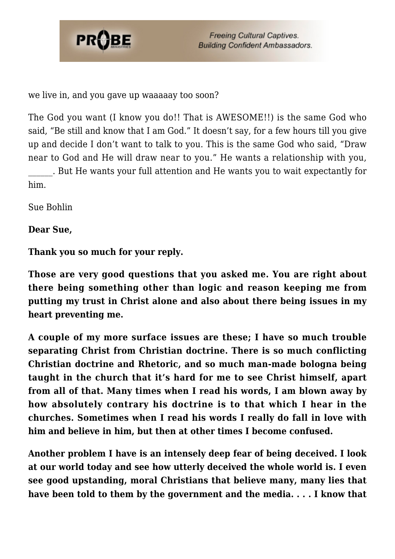

we live in, and you gave up waaaaay too soon?

The God you want (I know you do!! That is AWESOME!!) is the same God who said, "Be still and know that I am God." It doesn't say, for a few hours till you give up and decide I don't want to talk to you. This is the same God who said, "Draw near to God and He will draw near to you." He wants a relationship with you,

\_\_\_\_\_\_. But He wants your full attention and He wants you to wait expectantly for him.

Sue Bohlin

## **Dear Sue,**

**Thank you so much for your reply.**

**Those are very good questions that you asked me. You are right about there being something other than logic and reason keeping me from putting my trust in Christ alone and also about there being issues in my heart preventing me.**

**A couple of my more surface issues are these; I have so much trouble separating Christ from Christian doctrine. There is so much conflicting Christian doctrine and Rhetoric, and so much man-made bologna being taught in the church that it's hard for me to see Christ himself, apart from all of that. Many times when I read his words, I am blown away by how absolutely contrary his doctrine is to that which I hear in the churches. Sometimes when I read his words I really do fall in love with him and believe in him, but then at other times I become confused.**

**Another problem I have is an intensely deep fear of being deceived. I look at our world today and see how utterly deceived the whole world is. I even see good upstanding, moral Christians that believe many, many lies that have been told to them by the government and the media. . . . I know that**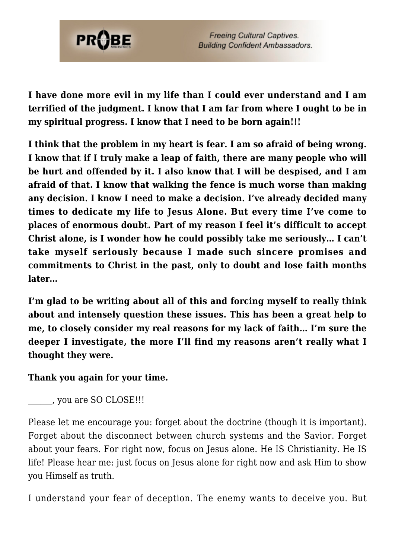

**I have done more evil in my life than I could ever understand and I am terrified of the judgment. I know that I am far from where I ought to be in my spiritual progress. I know that I need to be born again!!!**

**I think that the problem in my heart is fear. I am so afraid of being wrong. I know that if I truly make a leap of faith, there are many people who will be hurt and offended by it. I also know that I will be despised, and I am afraid of that. I know that walking the fence is much worse than making any decision. I know I need to make a decision. I've already decided many times to dedicate my life to Jesus Alone. But every time I've come to places of enormous doubt. Part of my reason I feel it's difficult to accept Christ alone, is I wonder how he could possibly take me seriously… I can't take myself seriously because I made such sincere promises and commitments to Christ in the past, only to doubt and lose faith months later…**

**I'm glad to be writing about all of this and forcing myself to really think about and intensely question these issues. This has been a great help to me, to closely consider my real reasons for my lack of faith… I'm sure the deeper I investigate, the more I'll find my reasons aren't really what I thought they were.**

## **Thank you again for your time.**

\_\_\_\_\_\_, you are SO CLOSE!!!

Please let me encourage you: forget about the doctrine (though it is important). Forget about the disconnect between church systems and the Savior. Forget about your fears. For right now, focus on Jesus alone. He IS Christianity. He IS life! Please hear me: just focus on Jesus alone for right now and ask Him to show you Himself as truth.

I understand your fear of deception. The enemy wants to deceive you. But